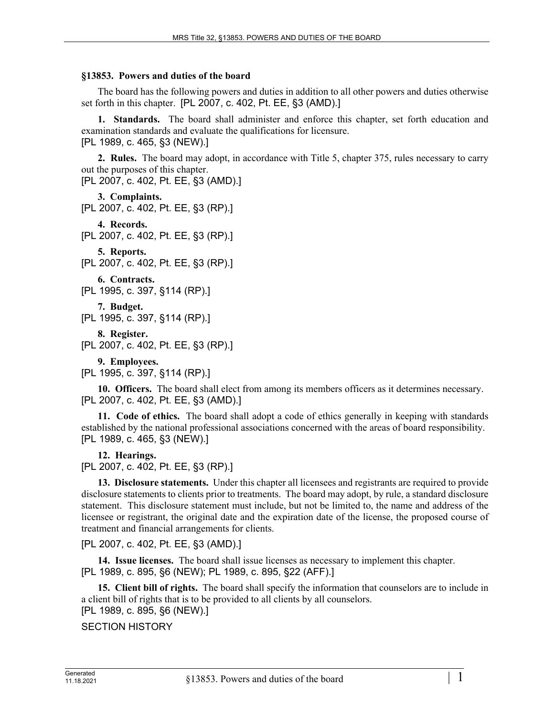## **§13853. Powers and duties of the board**

The board has the following powers and duties in addition to all other powers and duties otherwise set forth in this chapter. [PL 2007, c. 402, Pt. EE, §3 (AMD).]

**1. Standards.** The board shall administer and enforce this chapter, set forth education and examination standards and evaluate the qualifications for licensure. [PL 1989, c. 465, §3 (NEW).]

**2. Rules.** The board may adopt, in accordance with Title 5, chapter 375, rules necessary to carry out the purposes of this chapter. [PL 2007, c. 402, Pt. EE, §3 (AMD).]

**3. Complaints.** 

```
[PL 2007, c. 402, Pt. EE, §3 (RP).]
```
**4. Records.**  [PL 2007, c. 402, Pt. EE, §3 (RP).]

**5. Reports.**  [PL 2007, c. 402, Pt. EE, §3 (RP).]

```
6. Contracts.
```
[PL 1995, c. 397, §114 (RP).]

**7. Budget.** 

```
[PL 1995, c. 397, §114 (RP).]
```
**8. Register.** 

```
[PL 2007, c. 402, Pt. EE, §3 (RP).]
```
**9. Employees.** 

[PL 1995, c. 397, §114 (RP).]

**10. Officers.** The board shall elect from among its members officers as it determines necessary. [PL 2007, c. 402, Pt. EE, §3 (AMD).]

**11. Code of ethics.** The board shall adopt a code of ethics generally in keeping with standards established by the national professional associations concerned with the areas of board responsibility. [PL 1989, c. 465, §3 (NEW).]

**12. Hearings.** 

[PL 2007, c. 402, Pt. EE, §3 (RP).]

**13. Disclosure statements.** Under this chapter all licensees and registrants are required to provide disclosure statements to clients prior to treatments. The board may adopt, by rule, a standard disclosure statement. This disclosure statement must include, but not be limited to, the name and address of the licensee or registrant, the original date and the expiration date of the license, the proposed course of treatment and financial arrangements for clients.

[PL 2007, c. 402, Pt. EE, §3 (AMD).]

**14. Issue licenses.** The board shall issue licenses as necessary to implement this chapter. [PL 1989, c. 895, §6 (NEW); PL 1989, c. 895, §22 (AFF).]

**15. Client bill of rights.** The board shall specify the information that counselors are to include in a client bill of rights that is to be provided to all clients by all counselors. [PL 1989, c. 895, §6 (NEW).]

```
SECTION HISTORY
```